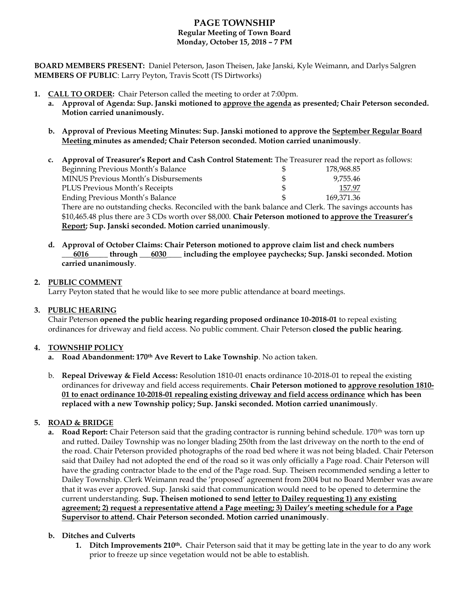# **PAGE TOWNSHIP Regular Meeting of Town Board Monday, October 15, 2018 – 7 PM**

**BOARD MEMBERS PRESENT:** Daniel Peterson, Jason Theisen, Jake Janski, Kyle Weimann, and Darlys Salgren **MEMBERS OF PUBLIC**: Larry Peyton, Travis Scott (TS Dirtworks)

- **1. CALL TO ORDER:** Chair Peterson called the meeting to order at 7:00pm.
	- **a. Approval of Agenda: Sup. Janski motioned to approve the agenda as presented; Chair Peterson seconded. Motion carried unanimously.**
	- **b. Approval of Previous Meeting Minutes: Sup. Janski motioned to approve the September Regular Board Meeting minutes as amended; Chair Peterson seconded. Motion carried unanimously**.
	- **c. Approval of Treasurer's Report and Cash Control Statement:** The Treasurer read the report as follows: Beginning Previous Month's Balance \$ 178,968.85 MINUS Previous Month's Disbursements \$ 9,755.46 PLUS Previous Month's Receipts \$ 157.97 Ending Previous Month's Balance  $\frac{169,371.36}{5}$ There are no outstanding checks. Reconciled with the bank balance and Clerk. The savings accounts has

\$10,465.48 plus there are 3 CDs worth over \$8,000. **Chair Peterson motioned to approve the Treasurer's Report; Sup. Janski seconded. Motion carried unanimously**.

**d. Approval of October Claims: Chair Peterson motioned to approve claim list and check numbers \_\_\_6016\_\_\_\_\_ through \_\_\_6030\_\_\_\_ including the employee paychecks; Sup. Janski seconded. Motion carried unanimously**.

### **2. PUBLIC COMMENT**

Larry Peyton stated that he would like to see more public attendance at board meetings.

### **3. PUBLIC HEARING**

Chair Peterson **opened the public hearing regarding proposed ordinance 10-2018-01** to repeal existing ordinances for driveway and field access. No public comment. Chair Peterson **closed the public hearing**.

### **4. TOWNSHIP POLICY**

- **a. Road Abandonment: 170th Ave Revert to Lake Township**. No action taken.
- b. **Repeal Driveway & Field Access:** Resolution 1810-01 enacts ordinance 10-2018-01 to repeal the existing ordinances for driveway and field access requirements. **Chair Peterson motioned to approve resolution 1810- 01 to enact ordinance 10-2018-01 repealing existing driveway and field access ordinance which has been replaced with a new Township policy; Sup. Janski seconded. Motion carried unanimousl**y.

## **5. ROAD & BRIDGE**

**a. Road Report:** Chair Peterson said that the grading contractor is running behind schedule. 170<sup>th</sup> was torn up and rutted. Dailey Township was no longer blading 250th from the last driveway on the north to the end of the road. Chair Peterson provided photographs of the road bed where it was not being bladed. Chair Peterson said that Dailey had not adopted the end of the road so it was only officially a Page road. Chair Peterson will have the grading contractor blade to the end of the Page road. Sup. Theisen recommended sending a letter to Dailey Township. Clerk Weimann read the 'proposed' agreement from 2004 but no Board Member was aware that it was ever approved. Sup. Janski said that communication would need to be opened to determine the current understanding. **Sup. Theisen motioned to send letter to Dailey requesting 1) any existing agreement; 2) request a representative attend a Page meeting; 3) Dailey's meeting schedule for a Page Supervisor to attend. Chair Peterson seconded. Motion carried unanimously**.

### **b. Ditches and Culverts**

**1. Ditch Improvements 210th.** Chair Peterson said that it may be getting late in the year to do any work prior to freeze up since vegetation would not be able to establish.